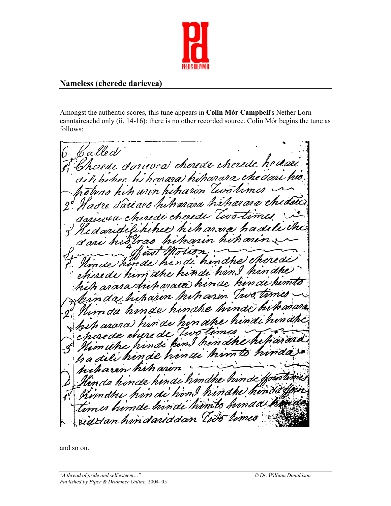

## **Nameless (cherede darievea)**

Amongst the authentic scores, this tune appears in **Colin Mór Campbell**'s Nether Lorn canntaireachd only (ii, 14-16): there is no other recorded source. Colin Mór begins the tune as follows:

'a l le d*l* herede connuces cherede cherede hedau mara) hii harara *che dari hi*o  $11.1n$ n. n ar .<br>m'th 70 'an

and so on.